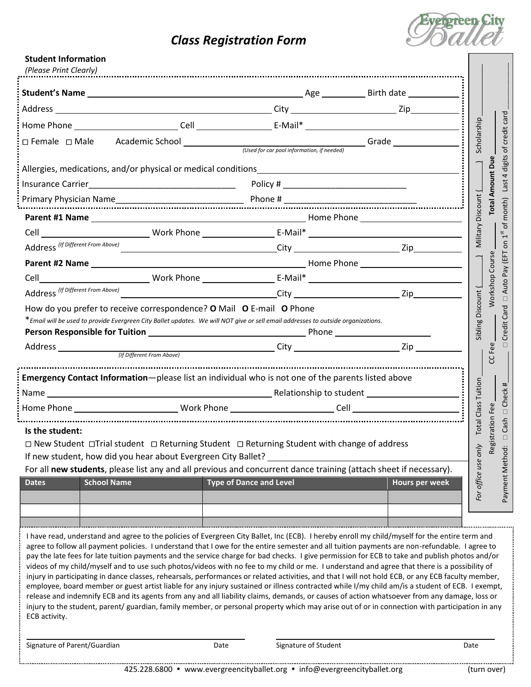## *Class Registration Form*



| <b>Student Information</b><br>(Please Print Clearly)                                                                                                                                                                                                                                                                                                                                                                                                                                                                                                                                                                                                                                                                                                                                                                                                                                                                                                                                                                                                                                                                                                                                                                          |      |                                |                                         |                                                                              |
|-------------------------------------------------------------------------------------------------------------------------------------------------------------------------------------------------------------------------------------------------------------------------------------------------------------------------------------------------------------------------------------------------------------------------------------------------------------------------------------------------------------------------------------------------------------------------------------------------------------------------------------------------------------------------------------------------------------------------------------------------------------------------------------------------------------------------------------------------------------------------------------------------------------------------------------------------------------------------------------------------------------------------------------------------------------------------------------------------------------------------------------------------------------------------------------------------------------------------------|------|--------------------------------|-----------------------------------------|------------------------------------------------------------------------------|
|                                                                                                                                                                                                                                                                                                                                                                                                                                                                                                                                                                                                                                                                                                                                                                                                                                                                                                                                                                                                                                                                                                                                                                                                                               |      |                                |                                         |                                                                              |
|                                                                                                                                                                                                                                                                                                                                                                                                                                                                                                                                                                                                                                                                                                                                                                                                                                                                                                                                                                                                                                                                                                                                                                                                                               |      |                                |                                         |                                                                              |
|                                                                                                                                                                                                                                                                                                                                                                                                                                                                                                                                                                                                                                                                                                                                                                                                                                                                                                                                                                                                                                                                                                                                                                                                                               |      |                                |                                         |                                                                              |
| $\Box$ Female $\Box$ Male                                                                                                                                                                                                                                                                                                                                                                                                                                                                                                                                                                                                                                                                                                                                                                                                                                                                                                                                                                                                                                                                                                                                                                                                     |      |                                |                                         | of credit card<br>Scholarship                                                |
| Allergies, medications, and/or physical or medical conditions____________________                                                                                                                                                                                                                                                                                                                                                                                                                                                                                                                                                                                                                                                                                                                                                                                                                                                                                                                                                                                                                                                                                                                                             |      |                                |                                         | digits<br>$\overline{4}$                                                     |
|                                                                                                                                                                                                                                                                                                                                                                                                                                                                                                                                                                                                                                                                                                                                                                                                                                                                                                                                                                                                                                                                                                                                                                                                                               |      |                                |                                         | <b>Last</b>                                                                  |
|                                                                                                                                                                                                                                                                                                                                                                                                                                                                                                                                                                                                                                                                                                                                                                                                                                                                                                                                                                                                                                                                                                                                                                                                                               |      |                                |                                         |                                                                              |
|                                                                                                                                                                                                                                                                                                                                                                                                                                                                                                                                                                                                                                                                                                                                                                                                                                                                                                                                                                                                                                                                                                                                                                                                                               |      |                                |                                         | <b>Vilitary Discount (</b><br>of month)                                      |
|                                                                                                                                                                                                                                                                                                                                                                                                                                                                                                                                                                                                                                                                                                                                                                                                                                                                                                                                                                                                                                                                                                                                                                                                                               |      |                                |                                         | $1^{\rm st}$                                                                 |
| Address (If Different From Above)                                                                                                                                                                                                                                                                                                                                                                                                                                                                                                                                                                                                                                                                                                                                                                                                                                                                                                                                                                                                                                                                                                                                                                                             |      |                                |                                         | $\overline{5}$                                                               |
|                                                                                                                                                                                                                                                                                                                                                                                                                                                                                                                                                                                                                                                                                                                                                                                                                                                                                                                                                                                                                                                                                                                                                                                                                               |      |                                |                                         | Pay (EFT<br><b>Norkshop Course</b>                                           |
|                                                                                                                                                                                                                                                                                                                                                                                                                                                                                                                                                                                                                                                                                                                                                                                                                                                                                                                                                                                                                                                                                                                                                                                                                               |      |                                |                                         |                                                                              |
|                                                                                                                                                                                                                                                                                                                                                                                                                                                                                                                                                                                                                                                                                                                                                                                                                                                                                                                                                                                                                                                                                                                                                                                                                               |      |                                |                                         | Auto<br>$\Box$                                                               |
| * Email will be used to provide Evergreen City Ballet updates. We will NOT give or sell email addresses to outside organizations.                                                                                                                                                                                                                                                                                                                                                                                                                                                                                                                                                                                                                                                                                                                                                                                                                                                                                                                                                                                                                                                                                             |      |                                |                                         | Sibling Discount (<br>Credit Card<br>CC <sub>Fee</sub><br>П                  |
| <b>Emergency Contact Information</b> -please list an individual who is not one of the parents listed above                                                                                                                                                                                                                                                                                                                                                                                                                                                                                                                                                                                                                                                                                                                                                                                                                                                                                                                                                                                                                                                                                                                    |      |                                |                                         |                                                                              |
|                                                                                                                                                                                                                                                                                                                                                                                                                                                                                                                                                                                                                                                                                                                                                                                                                                                                                                                                                                                                                                                                                                                                                                                                                               |      |                                | <b>Total Class Tuition</b><br>D Check # |                                                                              |
|                                                                                                                                                                                                                                                                                                                                                                                                                                                                                                                                                                                                                                                                                                                                                                                                                                                                                                                                                                                                                                                                                                                                                                                                                               |      |                                |                                         | Fee                                                                          |
| Is the student:<br>□ New Student □Trial student □ Returning Student □ Returning Student with change of address<br>If new student, how did you hear about Evergreen City Ballet?<br>For all new students, please list any and all previous and concurrent dance training (attach sheet if necessary).<br><b>School Name</b><br><b>Dates</b>                                                                                                                                                                                                                                                                                                                                                                                                                                                                                                                                                                                                                                                                                                                                                                                                                                                                                    |      | <b>Type of Dance and Level</b> | <b>Hours per week</b>                   | stration<br>Cash<br>$\Box$<br>For office use only<br>Regi<br>Payment Method: |
|                                                                                                                                                                                                                                                                                                                                                                                                                                                                                                                                                                                                                                                                                                                                                                                                                                                                                                                                                                                                                                                                                                                                                                                                                               |      |                                |                                         |                                                                              |
| I have read, understand and agree to the policies of Evergreen City Ballet, Inc (ECB). I hereby enroll my child/myself for the entire term and<br>agree to follow all payment policies. I understand that I owe for the entire semester and all tuition payments are non-refundable. I agree to<br>pay the late fees for late tuition payments and the service charge for bad checks. I give permission for ECB to take and publish photos and/or<br>videos of my child/myself and to use such photos/videos with no fee to my child or me. I understand and agree that there is a possibility of<br>injury in participating in dance classes, rehearsals, performances or related activities, and that I will not hold ECB, or any ECB faculty member,<br>employee, board member or guest artist liable for any injury sustained or illness contracted while I/my child am/is a student of ECB. I exempt,<br>release and indemnify ECB and its agents from any and all liability claims, demands, or causes of action whatsoever from any damage, loss or<br>injury to the student, parent/ guardian, family member, or personal property which may arise out of or in connection with participation in any<br>ECB activity. |      |                                |                                         |                                                                              |
| Signature of Parent/Guardian                                                                                                                                                                                                                                                                                                                                                                                                                                                                                                                                                                                                                                                                                                                                                                                                                                                                                                                                                                                                                                                                                                                                                                                                  | Date | Signature of Student           |                                         | Date                                                                         |